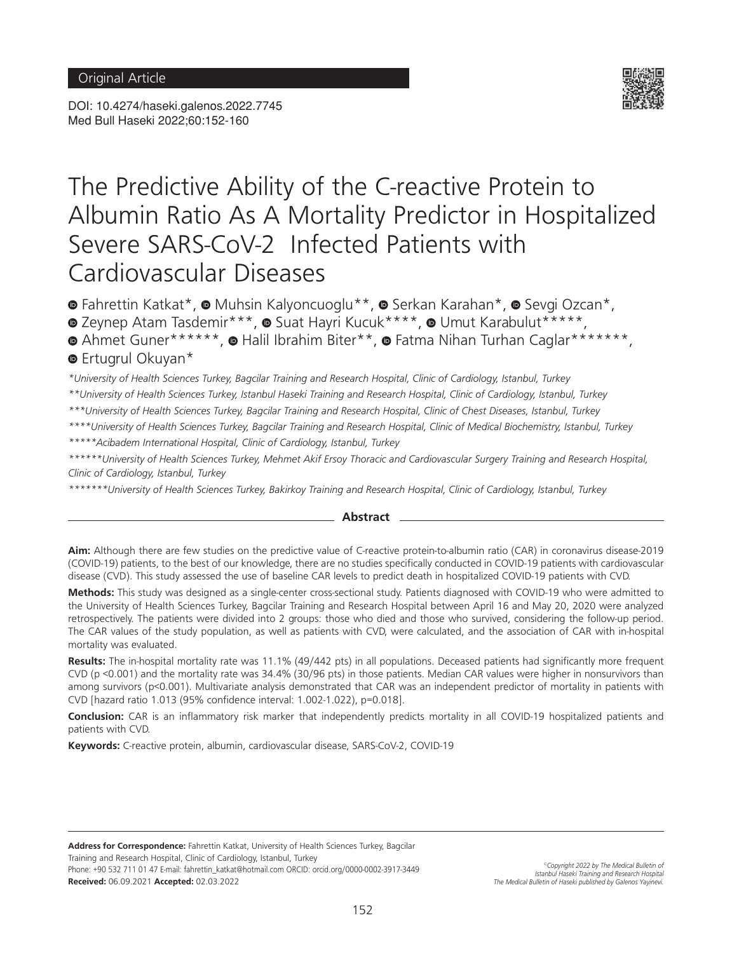DOI: 10.4274/haseki.galenos.2022.7745 Med Bull Haseki 2022;60:152-160



# The Predictive Ability of the C-reactive Protein to Albumin Ratio As A Mortality Predictor in Hospitalized Severe SARS-CoV-2 Infected Patients with Cardiovascular Diseases

**·**Fahrettin Katkat\*, **•** Muhsin Kalyoncuoglu\*\*, 
• Serkan Karahan\*, 
• Sevgi Ozcan\*,

 $\bullet$ Zeynep Atam Tasdemir\*\*\*,  $\bullet$  Suat Hayri Kucuk\*\*\*\*,  $\bullet$  Umut Karabulut\*\*\*\*\*,

**AhmetGuner\*\*\*\*\*\*, @ Halil Ibrahim Biter\*\*, @ Fatma Nihan Turhan Caglar\*\*\*\*\*\*\*\***, **E**rtugrulOkuyan\*

*\*University of Health Sciences Turkey, Bagcilar Training and Research Hospital, Clinic of Cardiology, Istanbul, Turkey*

*\*\*University of Health Sciences Turkey, Istanbul Haseki Training and Research Hospital, Clinic of Cardiology, Istanbul, Turkey*

*\*\*\*University of Health Sciences Turkey, Bagcilar Training and Research Hospital, Clinic of Chest Diseases, Istanbul, Turkey*

*\*\*\*\*University of Health Sciences Turkey, Bagcilar Training and Research Hospital, Clinic of Medical Biochemistry, Istanbul, Turkey*

*\*\*\*\*\*Acibadem International Hospital, Clinic of Cardiology, Istanbul, Turkey*

*\*\*\*\*\*\*University of Health Sciences Turkey, Mehmet Akif Ersoy Thoracic and Cardiovascular Surgery Training and Research Hospital, Clinic of Cardiology, Istanbul, Turkey*

*\*\*\*\*\*\*\*University of Health Sciences Turkey, Bakirkoy Training and Research Hospital, Clinic of Cardiology, Istanbul, Turkey*

#### **Abstract**

**Aim:** Although there are few studies on the predictive value of C-reactive protein-to-albumin ratio (CAR) in coronavirus disease-2019 (COVID-19) patients, to the best of our knowledge, there are no studies specifically conducted in COVID-19 patients with cardiovascular disease (CVD). This study assessed the use of baseline CAR levels to predict death in hospitalized COVID-19 patients with CVD.

**Methods:** This study was designed as a single-center cross-sectional study. Patients diagnosed with COVID-19 who were admitted to the University of Health Sciences Turkey, Bagcilar Training and Research Hospital between April 16 and May 20, 2020 were analyzed retrospectively. The patients were divided into 2 groups: those who died and those who survived, considering the follow-up period. The CAR values of the study population, as well as patients with CVD, were calculated, and the association of CAR with in-hospital mortality was evaluated.

**Results:** The in-hospital mortality rate was 11.1% (49/442 pts) in all populations. Deceased patients had significantly more frequent CVD (p <0.001) and the mortality rate was 34.4% (30/96 pts) in those patients. Median CAR values were higher in nonsurvivors than among survivors (p<0.001). Multivariate analysis demonstrated that CAR was an independent predictor of mortality in patients with CVD [hazard ratio 1.013 (95% confidence interval: 1.002-1.022), p=0.018].

**Conclusion:** CAR is an inflammatory risk marker that independently predicts mortality in all COVID-19 hospitalized patients and patients with CVD.

**Keywords:** C-reactive protein, albumin, cardiovascular disease, SARS-CoV-2, COVID-19

**Address for Correspondence:** Fahrettin Katkat, University of Health Sciences Turkey, Bagcilar Training and Research Hospital, Clinic of Cardiology, Istanbul, Turkey Phone: +90 532 711 01 47 E-mail: fahrettin\_katkat@hotmail.com ORCID: orcid.org/0000-0002-3917-3449 **Received:** 06.09.2021 **Accepted:** 02.03.2022

*©Copyright 2022 by The Medical Bulletin of Istanbul Haseki Training and Research Hospital The Medical Bulletin of Haseki published by Galenos Yayinevi.*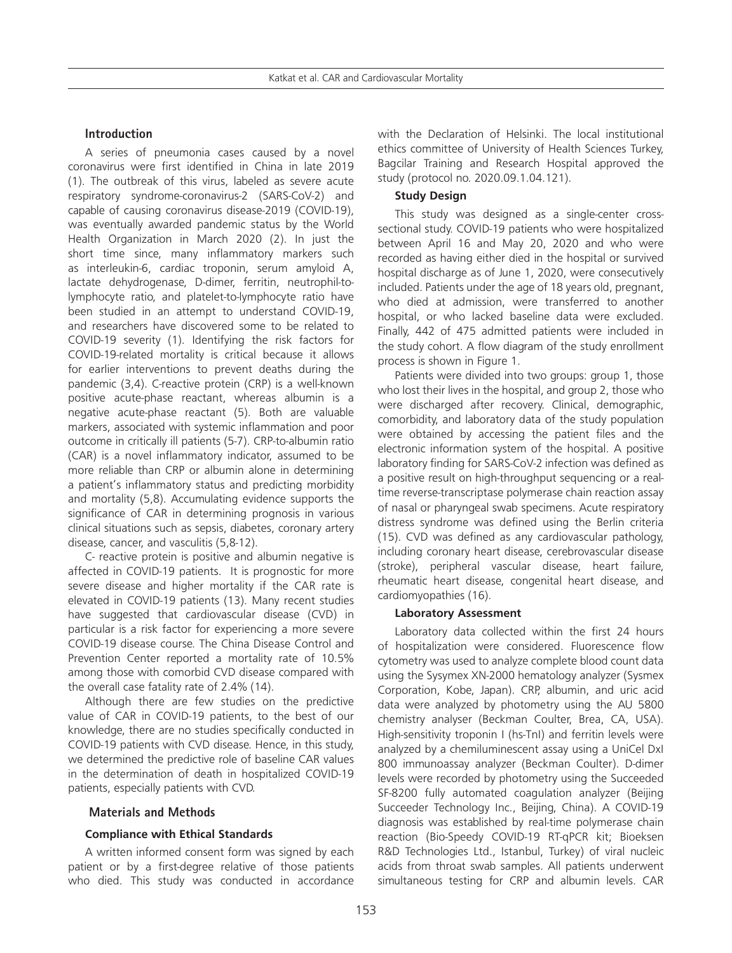# **Introduction**

A series of pneumonia cases caused by a novel coronavirus were first identified in China in late 2019 (1). The outbreak of this virus, labeled as severe acute respiratory syndrome-coronavirus-2 (SARS-CoV-2) and capable of causing coronavirus disease-2019 (COVID-19), was eventually awarded pandemic status by the World Health Organization in March 2020 (2). In just the short time since, many inflammatory markers such as interleukin-6, cardiac troponin, serum amyloid A, lactate dehydrogenase, D-dimer, ferritin, neutrophil-tolymphocyte ratio, and platelet-to-lymphocyte ratio have been studied in an attempt to understand COVID-19, and researchers have discovered some to be related to COVID-19 severity (1). Identifying the risk factors for COVID-19-related mortality is critical because it allows for earlier interventions to prevent deaths during the pandemic (3,4). C-reactive protein (CRP) is a well-known positive acute-phase reactant, whereas albumin is a negative acute-phase reactant (5). Both are valuable markers, associated with systemic inflammation and poor outcome in critically ill patients (5-7). CRP-to-albumin ratio (CAR) is a novel inflammatory indicator, assumed to be more reliable than CRP or albumin alone in determining a patient's inflammatory status and predicting morbidity and mortality (5,8). Accumulating evidence supports the significance of CAR in determining prognosis in various clinical situations such as sepsis, diabetes, coronary artery disease, cancer, and vasculitis (5,8-12).

C- reactive protein is positive and albumin negative is affected in COVID-19 patients. It is prognostic for more severe disease and higher mortality if the CAR rate is elevated in COVID-19 patients (13). Many recent studies have suggested that cardiovascular disease (CVD) in particular is a risk factor for experiencing a more severe COVID-19 disease course. The China Disease Control and Prevention Center reported a mortality rate of 10.5% among those with comorbid CVD disease compared with the overall case fatality rate of 2.4% (14).

Although there are few studies on the predictive value of CAR in COVID-19 patients, to the best of our knowledge, there are no studies specifically conducted in COVID-19 patients with CVD disease. Hence, in this study, we determined the predictive role of baseline CAR values in the determination of death in hospitalized COVID-19 patients, especially patients with CVD.

#### **Materials and Methods**

#### **Compliance with Ethical Standards**

A written informed consent form was signed by each patient or by a first-degree relative of those patients who died. This study was conducted in accordance with the Declaration of Helsinki. The local institutional ethics committee of University of Health Sciences Turkey, Bagcilar Training and Research Hospital approved the study (protocol no. 2020.09.1.04.121).

# **Study Design**

This study was designed as a single-center crosssectional study. COVID-19 patients who were hospitalized between April 16 and May 20, 2020 and who were recorded as having either died in the hospital or survived hospital discharge as of June 1, 2020, were consecutively included. Patients under the age of 18 years old, pregnant, who died at admission, were transferred to another hospital, or who lacked baseline data were excluded. Finally, 442 of 475 admitted patients were included in the study cohort. A flow diagram of the study enrollment process is shown in Figure 1.

Patients were divided into two groups: group 1, those who lost their lives in the hospital, and group 2, those who were discharged after recovery. Clinical, demographic, comorbidity, and laboratory data of the study population were obtained by accessing the patient files and the electronic information system of the hospital. A positive laboratory finding for SARS-CoV-2 infection was defined as a positive result on high-throughput sequencing or a realtime reverse-transcriptase polymerase chain reaction assay of nasal or pharyngeal swab specimens. Acute respiratory distress syndrome was defined using the Berlin criteria (15). CVD was defined as any cardiovascular pathology, including coronary heart disease, cerebrovascular disease (stroke), peripheral vascular disease, heart failure, rheumatic heart disease, congenital heart disease, and cardiomyopathies (16).

#### **Laboratory Assessment**

Laboratory data collected within the first 24 hours of hospitalization were considered. Fluorescence flow cytometry was used to analyze complete blood count data using the Sysymex XN-2000 hematology analyzer (Sysmex Corporation, Kobe, Japan). CRP, albumin, and uric acid data were analyzed by photometry using the AU 5800 chemistry analyser (Beckman Coulter, Brea, CA, USA). High-sensitivity troponin I (hs-TnI) and ferritin levels were analyzed by a chemiluminescent assay using a UniCel DxI 800 immunoassay analyzer (Beckman Coulter). D-dimer levels were recorded by photometry using the Succeeded SF-8200 fully automated coagulation analyzer (Beijing Succeeder Technology Inc., Beijing, China). A COVID-19 diagnosis was established by real-time polymerase chain reaction (Bio-Speedy COVID-19 RT-qPCR kit; Bioeksen R&D Technologies Ltd., Istanbul, Turkey) of viral nucleic acids from throat swab samples. All patients underwent simultaneous testing for CRP and albumin levels. CAR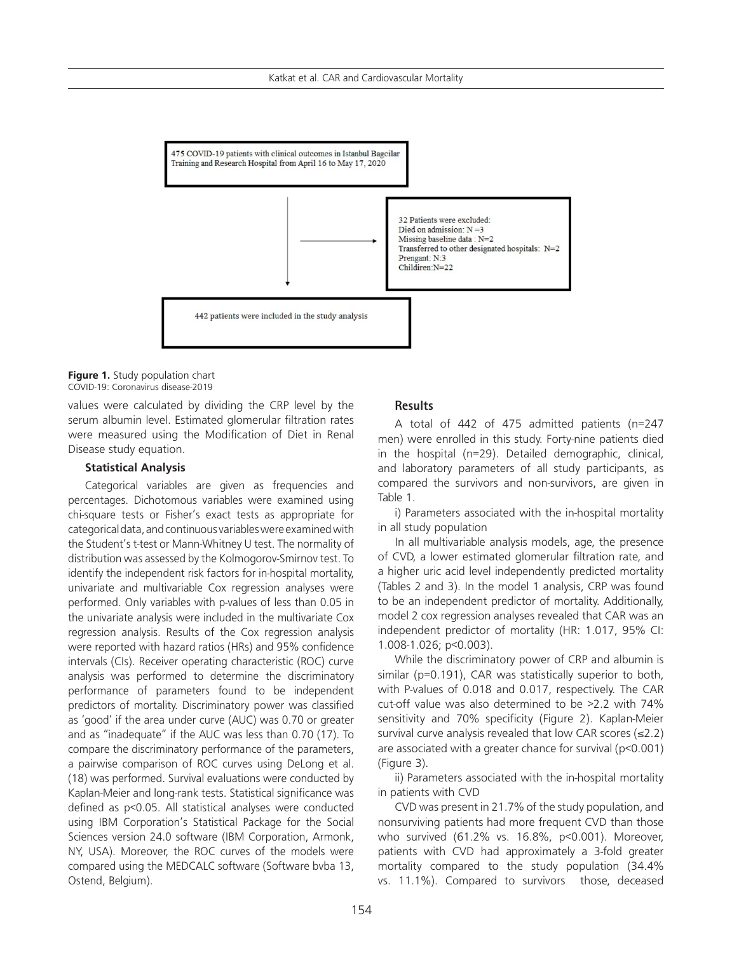

#### **Figure 1.** Study population chart COVID-19: Coronavirus disease-2019

values were calculated by dividing the CRP level by the serum albumin level. Estimated glomerular filtration rates were measured using the Modification of Diet in Renal Disease study equation.

### **Statistical Analysis**

Categorical variables are given as frequencies and percentages. Dichotomous variables were examined using chi-square tests or Fisher's exact tests as appropriate for categorical data, and continuous variables were examined with the Student's t-test or Mann-Whitney U test. The normality of distribution was assessed by the Kolmogorov-Smirnov test. To identify the independent risk factors for in-hospital mortality, univariate and multivariable Cox regression analyses were performed. Only variables with p-values of less than 0.05 in the univariate analysis were included in the multivariate Cox regression analysis. Results of the Cox regression analysis were reported with hazard ratios (HRs) and 95% confidence intervals (CIs). Receiver operating characteristic (ROC) curve analysis was performed to determine the discriminatory performance of parameters found to be independent predictors of mortality. Discriminatory power was classified as 'good' if the area under curve (AUC) was 0.70 or greater and as "inadequate" if the AUC was less than 0.70 (17). To compare the discriminatory performance of the parameters, a pairwise comparison of ROC curves using DeLong et al. (18) was performed. Survival evaluations were conducted by Kaplan-Meier and long-rank tests. Statistical significance was defined as p<0.05. All statistical analyses were conducted using IBM Corporation's Statistical Package for the Social Sciences version 24.0 software (IBM Corporation, Armonk, NY, USA). Moreover, the ROC curves of the models were compared using the MEDCALC software (Software bvba 13, Ostend, Belgium).

#### **Results**

A total of 442 of 475 admitted patients (n=247 men) were enrolled in this study. Forty-nine patients died in the hospital (n=29). Detailed demographic, clinical, and laboratory parameters of all study participants, as compared the survivors and non-survivors, are given in Table 1.

i) Parameters associated with the in-hospital mortality in all study population

In all multivariable analysis models, age, the presence of CVD, a lower estimated glomerular filtration rate, and a higher uric acid level independently predicted mortality (Tables 2 and 3). In the model 1 analysis, CRP was found to be an independent predictor of mortality. Additionally, model 2 cox regression analyses revealed that CAR was an independent predictor of mortality (HR: 1.017, 95% CI: 1.008-1.026; p<0.003).

While the discriminatory power of CRP and albumin is similar (p=0.191), CAR was statistically superior to both, with P-values of 0.018 and 0.017, respectively. The CAR cut-off value was also determined to be >2.2 with 74% sensitivity and 70% specificity (Figure 2). Kaplan-Meier survival curve analysis revealed that low CAR scores  $(\leq 2.2)$ are associated with a greater chance for survival (p<0.001) (Figure 3).

ii) Parameters associated with the in-hospital mortality in patients with CVD

CVD was present in 21.7% of the study population, and nonsurviving patients had more frequent CVD than those who survived (61.2% vs. 16.8%, p<0.001). Moreover, patients with CVD had approximately a 3-fold greater mortality compared to the study population (34.4% vs. 11.1%). Compared to survivors those, deceased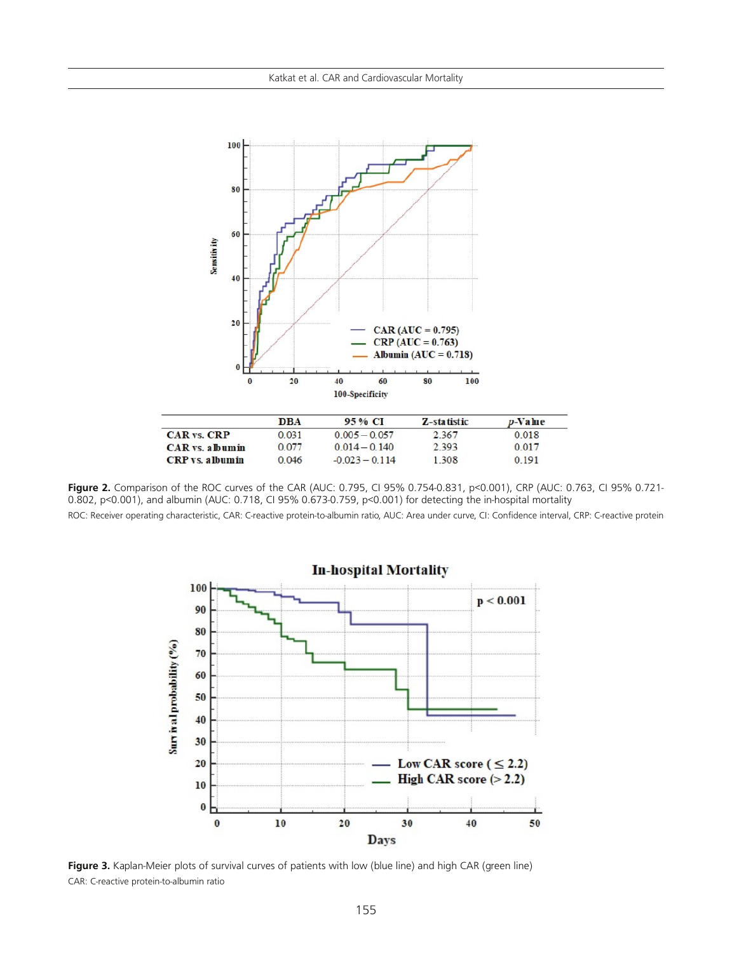

|                               | DBA   | 95% CI           | Z-statistic | $p$ -Value |
|-------------------------------|-------|------------------|-------------|------------|
| <b>CAR</b> vs. CRP            | 0.031 | $0.005 - 0.057$  | 2 3 6 7     | 0.018      |
| <b>CAR</b> vs. a <b>bumin</b> | 0.077 | $0.014 - 0.140$  | 2.393       | 0.017      |
| <b>CRP</b> vs. albumin        | 0.046 | $-0.023 - 0.114$ | 1 308       | 0.191      |
|                               |       |                  |             |            |

**Figure 2.** Comparison of the ROC curves of the CAR (AUC: 0.795, CI 95% 0.754-0.831, p<0.001), CRP (AUC: 0.763, CI 95% 0.721- 0.802, p<0.001), and albumin (AUC: 0.718, CI 95% 0.673-0.759, p<0.001) for detecting the in-hospital mortality

ROC: Receiver operating characteristic, CAR: C-reactive protein-to-albumin ratio, AUC: Area under curve, CI: Confidence interval, CRP: C-reactive protein



**Figure 3.** Kaplan-Meier plots of survival curves of patients with low (blue line) and high CAR (green line) CAR: C-reactive protein-to-albumin ratio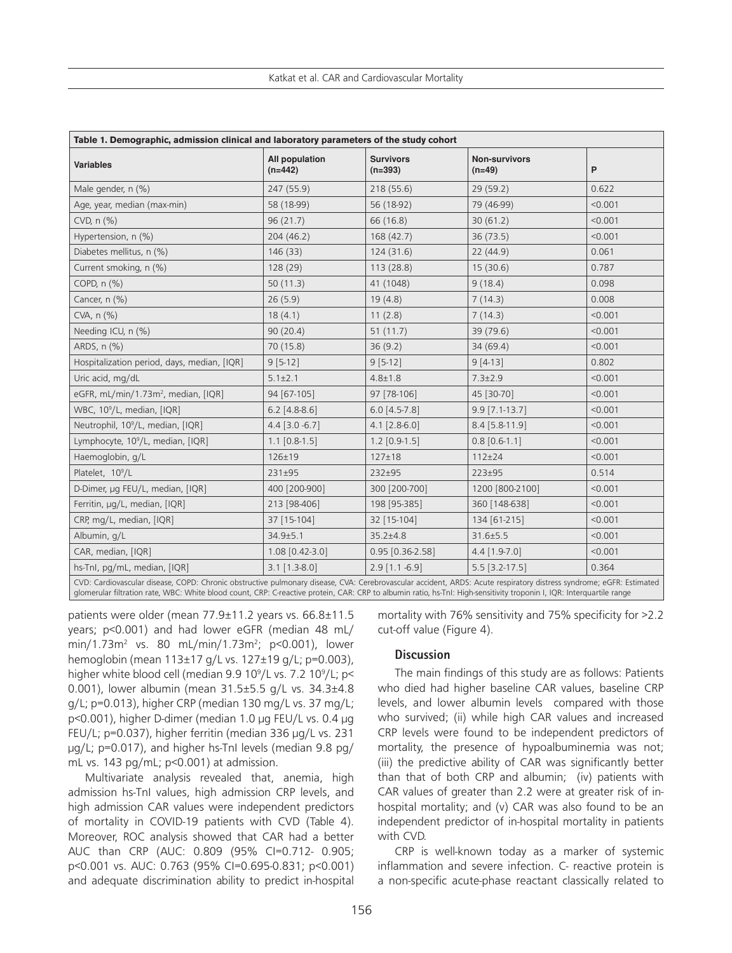| Table 1. Demographic, admission clinical and laboratory parameters of the study cohort                                                                                                                                                                                                                                                       |                             |                               |                                  |         |  |
|----------------------------------------------------------------------------------------------------------------------------------------------------------------------------------------------------------------------------------------------------------------------------------------------------------------------------------------------|-----------------------------|-------------------------------|----------------------------------|---------|--|
| <b>Variables</b>                                                                                                                                                                                                                                                                                                                             | All population<br>$(n=442)$ | <b>Survivors</b><br>$(n=393)$ | <b>Non-survivors</b><br>$(n=49)$ | P       |  |
| Male gender, n (%)                                                                                                                                                                                                                                                                                                                           | 247 (55.9)                  | 218 (55.6)                    | 29(59.2)                         | 0.622   |  |
| Age, year, median (max-min)                                                                                                                                                                                                                                                                                                                  | 58 (18-99)                  | 56 (18-92)                    | 79 (46-99)                       | < 0.001 |  |
| CVD, $n$ $(\%)$                                                                                                                                                                                                                                                                                                                              | 96(21.7)                    | 66 (16.8)                     | 30(61.2)                         | < 0.001 |  |
| Hypertension, n (%)                                                                                                                                                                                                                                                                                                                          | 204(46.2)                   | 168(42.7)                     | 36(73.5)                         | < 0.001 |  |
| Diabetes mellitus, n (%)                                                                                                                                                                                                                                                                                                                     | 146(33)                     | 124(31.6)                     | 22(44.9)                         | 0.061   |  |
| Current smoking, n (%)                                                                                                                                                                                                                                                                                                                       | 128 (29)                    | 113(28.8)                     | 15(30.6)                         | 0.787   |  |
| COPD, n (%)                                                                                                                                                                                                                                                                                                                                  | 50(11.3)                    | 41 (1048)                     | 9(18.4)                          | 0.098   |  |
| Cancer, n (%)                                                                                                                                                                                                                                                                                                                                | 26(5.9)                     | 19(4.8)                       | 7(14.3)                          | 0.008   |  |
| $CVA$ , n $(\% )$                                                                                                                                                                                                                                                                                                                            | 18(4.1)                     | 11(2.8)                       | 7(14.3)                          | < 0.001 |  |
| Needing ICU, n (%)                                                                                                                                                                                                                                                                                                                           | 90(20.4)                    | 51(11.7)                      | 39 (79.6)                        | < 0.001 |  |
| ARDS, n (%)                                                                                                                                                                                                                                                                                                                                  | 70 (15.8)                   | 36(9.2)                       | 34(69.4)                         | < 0.001 |  |
| Hospitalization period, days, median, [IQR]                                                                                                                                                                                                                                                                                                  | $9[5-12]$                   | $9[5-12]$                     | $9[4-13]$                        | 0.802   |  |
| Uric acid, mg/dL                                                                                                                                                                                                                                                                                                                             | $5.1 \pm 2.1$               | $4.8 \pm 1.8$                 | $7.3 \pm 2.9$                    | < 0.001 |  |
| eGFR, mL/min/1.73m <sup>2</sup> , median, [IQR]                                                                                                                                                                                                                                                                                              | 94 [67-105]                 | 97 [78-106]                   | 45 [30-70]                       | < 0.001 |  |
| WBC, 10 <sup>9</sup> /L, median, [IQR]                                                                                                                                                                                                                                                                                                       | $6.2$ [4.8-8.6]             | $6.0$ [4.5-7.8]               | $9.9$ [7.1-13.7]                 | < 0.001 |  |
| Neutrophil, 10 <sup>9</sup> /L, median, [IQR]                                                                                                                                                                                                                                                                                                | $4.4$ [3.0 -6.7]            | $4.1$ [2.8-6.0]               | 8.4 [5.8-11.9]                   | < 0.001 |  |
| Lymphocyte, 10 <sup>9</sup> /L, median, [IQR]                                                                                                                                                                                                                                                                                                | $1.1$ [0.8-1.5]             | $1.2$ [0.9-1.5]               | $0.8$ [0.6-1.1]                  | < 0.001 |  |
| Haemoglobin, g/L                                                                                                                                                                                                                                                                                                                             | $126 + 19$                  | $127 \pm 18$                  | $112 \pm 24$                     | < 0.001 |  |
| Platelet, 10 <sup>9</sup> /L                                                                                                                                                                                                                                                                                                                 | 231±95                      | 232±95                        | 223±95                           | 0.514   |  |
| D-Dimer, µg FEU/L, median, [IQR]                                                                                                                                                                                                                                                                                                             | 400 [200-900]               | 300 [200-700]                 | 1200 [800-2100]                  | < 0.001 |  |
| Ferritin, µg/L, median, [IQR]                                                                                                                                                                                                                                                                                                                | 213 [98-406]                | 198 [95-385]                  | 360 [148-638]                    | < 0.001 |  |
| CRP, mg/L, median, [IQR]                                                                                                                                                                                                                                                                                                                     | 37 [15-104]                 | 32 [15-104]                   | 134 [61-215]                     | < 0.001 |  |
| Albumin, g/L                                                                                                                                                                                                                                                                                                                                 | $34.9 \pm 5.1$              | $35.2 \pm 4.8$                | $31.6 \pm 5.5$                   | < 0.001 |  |
| CAR, median, [IQR]                                                                                                                                                                                                                                                                                                                           | 1.08 [0.42-3.0]             | $0.95$ $[0.36-2.58]$          | $4.4$ [1.9-7.0]                  | < 0.001 |  |
| hs-Tnl, pg/mL, median, [IQR]                                                                                                                                                                                                                                                                                                                 | $3.1$ [1.3-8.0]             | $2.9$ [1.1 -6.9]              | $5.5$ [3.2-17.5]                 | 0.364   |  |
| CVD: Cardiovascular disease, COPD: Chronic obstructive pulmonary disease, CVA: Cerebrovascular accident, ARDS: Acute respiratory distress syndrome; eGFR: Estimated<br>glomerular filtration rate, WBC: White blood count, CRP: C-reactive protein, CAR: CRP to albumin ratio, hs-Tnl: High-sensitivity troponin I, IQR: Interquartile range |                             |                               |                                  |         |  |

patients were older (mean 77.9±11.2 years vs. 66.8±11.5 years; p<0.001) and had lower eGFR (median 48 mL/ min/1.73m<sup>2</sup> vs. 80 mL/min/1.73m<sup>2</sup>; p<0.001), lower hemoglobin (mean 113±17 g/L vs. 127±19 g/L; p=0.003), higher white blood cell (median 9.9 10<sup>9</sup>/L vs. 7.2 10<sup>9</sup>/L; p< 0.001), lower albumin (mean 31.5±5.5 g/L vs. 34.3±4.8 g/L; p=0.013), higher CRP (median 130 mg/L vs. 37 mg/L; p<0.001), higher D-dimer (median 1.0 µg FEU/L vs. 0.4 µg FEU/L; p=0.037), higher ferritin (median 336 µg/L vs. 231 µg/L; p=0.017), and higher hs-TnI levels (median 9.8 pg/ mL vs. 143 pg/mL; p<0.001) at admission.

Multivariate analysis revealed that, anemia, high admission hs-TnI values, high admission CRP levels, and high admission CAR values were independent predictors of mortality in COVID-19 patients with CVD (Table 4). Moreover, ROC analysis showed that CAR had a better AUC than CRP (AUC: 0.809 (95% CI=0.712- 0.905; p<0.001 vs. AUC: 0.763 (95% CI=0.695-0.831; p<0.001) and adequate discrimination ability to predict in-hospital

mortality with 76% sensitivity and 75% specificity for >2.2 cut-off value (Figure 4).

# **Discussion**

The main findings of this study are as follows: Patients who died had higher baseline CAR values, baseline CRP levels, and lower albumin levels compared with those who survived; (ii) while high CAR values and increased CRP levels were found to be independent predictors of mortality, the presence of hypoalbuminemia was not; (iii) the predictive ability of CAR was significantly better than that of both CRP and albumin; (iv) patients with CAR values of greater than 2.2 were at greater risk of inhospital mortality; and (v) CAR was also found to be an independent predictor of in-hospital mortality in patients with CVD.

CRP is well-known today as a marker of systemic inflammation and severe infection. C- reactive protein is a non-specific acute-phase reactant classically related to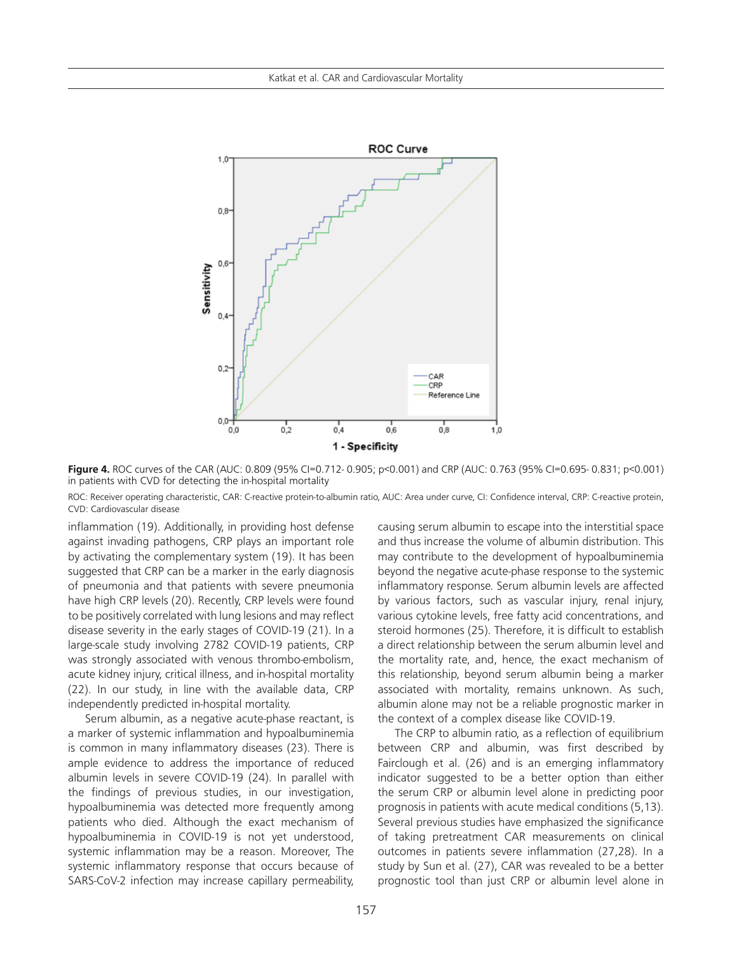

**Figure 4.** ROC curves of the CAR (AUC: 0.809 (95% CI=0.712- 0.905; p<0.001) and CRP (AUC: 0.763 (95% CI=0.695- 0.831; p<0.001) in patients with CVD for detecting the in-hospital mortality

ROC: Receiver operating characteristic, CAR: C-reactive protein-to-albumin ratio, AUC: Area under curve, CI: Confidence interval, CRP: C-reactive protein, CVD: Cardiovascular disease

inflammation (19). Additionally, in providing host defense against invading pathogens, CRP plays an important role by activating the complementary system (19). It has been suggested that CRP can be a marker in the early diagnosis of pneumonia and that patients with severe pneumonia have high CRP levels (20). Recently, CRP levels were found to be positively correlated with lung lesions and may reflect disease severity in the early stages of COVID-19 (21). In a large-scale study involving 2782 COVID-19 patients, CRP was strongly associated with venous thrombo-embolism, acute kidney injury, critical illness, and in-hospital mortality (22). In our study, in line with the available data, CRP independently predicted in-hospital mortality.

Serum albumin, as a negative acute-phase reactant, is a marker of systemic inflammation and hypoalbuminemia is common in many inflammatory diseases (23). There is ample evidence to address the importance of reduced albumin levels in severe COVID-19 (24). In parallel with the findings of previous studies, in our investigation, hypoalbuminemia was detected more frequently among patients who died. Although the exact mechanism of hypoalbuminemia in COVID-19 is not yet understood, systemic inflammation may be a reason. Moreover, The systemic inflammatory response that occurs because of SARS-CoV-2 infection may increase capillary permeability,

causing serum albumin to escape into the interstitial space and thus increase the volume of albumin distribution. This may contribute to the development of hypoalbuminemia beyond the negative acute-phase response to the systemic inflammatory response. Serum albumin levels are affected by various factors, such as vascular injury, renal injury, various cytokine levels, free fatty acid concentrations, and steroid hormones (25). Therefore, it is difficult to establish a direct relationship between the serum albumin level and the mortality rate, and, hence, the exact mechanism of this relationship, beyond serum albumin being a marker associated with mortality, remains unknown. As such, albumin alone may not be a reliable prognostic marker in the context of a complex disease like COVID-19.

The CRP to albumin ratio, as a reflection of equilibrium between CRP and albumin, was first described by Fairclough et al. (26) and is an emerging inflammatory indicator suggested to be a better option than either the serum CRP or albumin level alone in predicting poor prognosis in patients with acute medical conditions (5,13). Several previous studies have emphasized the significance of taking pretreatment CAR measurements on clinical outcomes in patients severe inflammation (27,28). In a study by Sun et al. (27), CAR was revealed to be a better prognostic tool than just CRP or albumin level alone in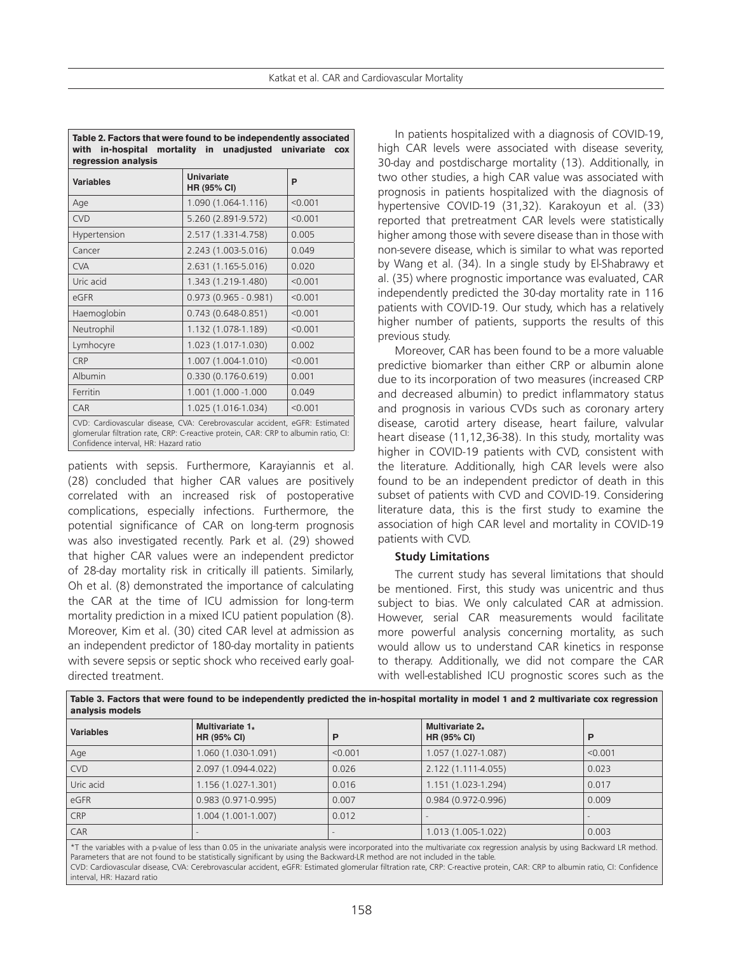| Table 2. Factors that were found to be independently associated<br>with in-hospital mortality in unadjusted univariate<br><b>COX</b><br>regression analysis                                                 |                           |         |  |  |  |
|-------------------------------------------------------------------------------------------------------------------------------------------------------------------------------------------------------------|---------------------------|---------|--|--|--|
| <b>Variables</b>                                                                                                                                                                                            | Univariate<br>HR (95% CI) | P       |  |  |  |
| Age                                                                                                                                                                                                         | 1.090 (1.064-1.116)       | < 0.001 |  |  |  |
| CVD                                                                                                                                                                                                         | 5.260 (2.891-9.572)       | < 0.001 |  |  |  |
| Hypertension                                                                                                                                                                                                | 2.517 (1.331-4.758)       | 0.005   |  |  |  |
| Cancer                                                                                                                                                                                                      | 2.243 (1.003-5.016)       | 0.049   |  |  |  |
| <b>CVA</b>                                                                                                                                                                                                  | 2.631 (1.165-5.016)       | 0.020   |  |  |  |
| Uric acid                                                                                                                                                                                                   | 1.343 (1.219-1.480)       | < 0.001 |  |  |  |
| eGFR                                                                                                                                                                                                        | $0.973(0.965 - 0.981)$    | < 0.001 |  |  |  |
| Haemoglobin                                                                                                                                                                                                 | $0.743(0.648-0.851)$      | < 0.001 |  |  |  |
| Neutrophil                                                                                                                                                                                                  | 1.132 (1.078-1.189)       | < 0.001 |  |  |  |
| Lymhocyre                                                                                                                                                                                                   | 1.023 (1.017-1.030)       | 0.002   |  |  |  |
| CRP                                                                                                                                                                                                         | 1.007 (1.004-1.010)       | < 0.001 |  |  |  |
| Albumin                                                                                                                                                                                                     | $0.330(0.176-0.619)$      | 0.001   |  |  |  |
| Ferritin                                                                                                                                                                                                    | 1.001 (1.000 -1.000       | 0.049   |  |  |  |
| CAR                                                                                                                                                                                                         | 1.025 (1.016-1.034)       | < 0.001 |  |  |  |
| CVD: Cardiovascular disease, CVA: Cerebrovascular accident, eGFR: Estimated<br>glomerular filtration rate, CRP: C-reactive protein, CAR: CRP to albumin ratio, CI:<br>Confidence interval, HR: Hazard ratio |                           |         |  |  |  |

patients with sepsis. Furthermore, Karayiannis et al. (28) concluded that higher CAR values are positively correlated with an increased risk of postoperative complications, especially infections. Furthermore, the potential significance of CAR on long-term prognosis was also investigated recently. Park et al. (29) showed that higher CAR values were an independent predictor of 28-day mortality risk in critically ill patients. Similarly, Oh et al. (8) demonstrated the importance of calculating the CAR at the time of ICU admission for long-term mortality prediction in a mixed ICU patient population (8). Moreover, Kim et al. (30) cited CAR level at admission as an independent predictor of 180-day mortality in patients with severe sepsis or septic shock who received early goaldirected treatment.

In patients hospitalized with a diagnosis of COVID-19, high CAR levels were associated with disease severity, 30-day and postdischarge mortality (13). Additionally, in two other studies, a high CAR value was associated with prognosis in patients hospitalized with the diagnosis of hypertensive COVID-19 (31,32). Karakoyun et al. (33) reported that pretreatment CAR levels were statistically higher among those with severe disease than in those with non-severe disease, which is similar to what was reported by Wang et al. (34). In a single study by El-Shabrawy et al. (35) where prognostic importance was evaluated, CAR independently predicted the 30-day mortality rate in 116 patients with COVID-19. Our study, which has a relatively higher number of patients, supports the results of this previous study.

Moreover, CAR has been found to be a more valuable predictive biomarker than either CRP or albumin alone due to its incorporation of two measures (increased CRP and decreased albumin) to predict inflammatory status and prognosis in various CVDs such as coronary artery disease, carotid artery disease, heart failure, valvular heart disease (11,12,36-38). In this study, mortality was higher in COVID-19 patients with CVD, consistent with the literature. Additionally, high CAR levels were also found to be an independent predictor of death in this subset of patients with CVD and COVID-19. Considering literature data, this is the first study to examine the association of high CAR level and mortality in COVID-19 patients with CVD.

#### **Study Limitations**

The current study has several limitations that should be mentioned. First, this study was unicentric and thus subject to bias. We only calculated CAR at admission. However, serial CAR measurements would facilitate more powerful analysis concerning mortality, as such would allow us to understand CAR kinetics in response to therapy. Additionally, we did not compare the CAR with well-established ICU prognostic scores such as the

| analysis models  |                                                |         |                                            |         |
|------------------|------------------------------------------------|---------|--------------------------------------------|---------|
| <b>Variables</b> | Multivariate $1_{\star}$<br><b>HR (95% CI)</b> |         | Multivariate $2_{*}$<br><b>HR (95% CI)</b> | P       |
| Age              | 1.060 (1.030-1.091)                            | < 0.001 | 1.057 (1.027-1.087)                        | < 0.001 |
| <b>CVD</b>       | 2.097 (1.094-4.022)                            | 0.026   | 2.122 (1.111-4.055)                        | 0.023   |
| Uric acid        | 1.156 (1.027-1.301)                            | 0.016   | 1.151 (1.023-1.294)                        | 0.017   |
| eGFR             | $0.983(0.971-0.995)$                           | 0.007   | $0.984(0.972-0.996)$                       | 0.009   |
| <b>CRP</b>       | 1.004 (1.001-1.007)                            | 0.012   |                                            |         |
| CAR              |                                                |         | $1.013(1.005-1.022)$                       | 0.003   |
|                  |                                                |         |                                            |         |

**Table 3. Factors that were found to be independently predicted the in-hospital mortality in model 1 and 2 multivariate cox regression** 

\*T the variables with a p-value of less than 0.05 in the univariate analysis were incorporated into the multivariate cox regression analysis by using Backward LR method. Parameters that are not found to be statistically significant by using the Backward-LR method are not included in the table. CVD: Cardiovascular disease, CVA: Cerebrovascular accident, eGFR: Estimated glomerular filtration rate, CRP: C-reactive protein, CAR: CRP to albumin ratio, CI: Confidence interval, HR: Hazard ratio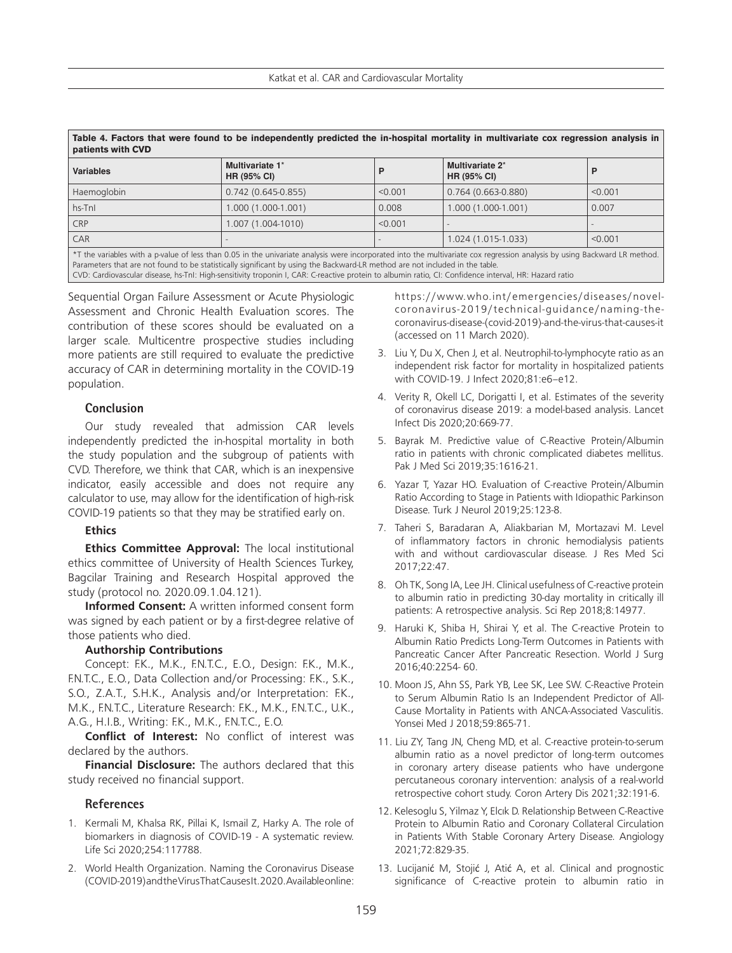| <b>Variables</b>                                                                                                                                                                                                                                                                                                                                                                                                                                                   | Multivariate 1*<br><b>HR (95% CI)</b> |         | Multivariate 2*<br><b>HR (95% CI)</b> | P       |
|--------------------------------------------------------------------------------------------------------------------------------------------------------------------------------------------------------------------------------------------------------------------------------------------------------------------------------------------------------------------------------------------------------------------------------------------------------------------|---------------------------------------|---------|---------------------------------------|---------|
| Haemoglobin                                                                                                                                                                                                                                                                                                                                                                                                                                                        | $0.742(0.645-0.855)$                  | < 0.001 | $0.764(0.663-0.880)$                  | < 0.001 |
| hs-Tnl                                                                                                                                                                                                                                                                                                                                                                                                                                                             | 1.000 (1.000-1.001)                   | 0.008   | 1.000 (1.000-1.001)                   | 0.007   |
| <b>CRP</b>                                                                                                                                                                                                                                                                                                                                                                                                                                                         | 1.007 (1.004-1010)                    | < 0.001 |                                       |         |
| CAR                                                                                                                                                                                                                                                                                                                                                                                                                                                                |                                       |         | 1.024 (1.015-1.033)                   | < 0.001 |
| *T the variables with a p-value of less than 0.05 in the univariate analysis were incorporated into the multivariate cox regression analysis by using Backward LR method.<br>Parameters that are not found to be statistically significant by using the Backward-LR method are not included in the table.<br>CVD: Cardiovascular disease, hs-TnI: High-sensitivity troponin I, CAR: C-reactive protein to albumin ratio, CI: Confidence interval, HR: Hazard ratio |                                       |         |                                       |         |

Sequential Organ Failure Assessment or Acute Physiologic Assessment and Chronic Health Evaluation scores. The contribution of these scores should be evaluated on a larger scale. Multicentre prospective studies including more patients are still required to evaluate the predictive accuracy of CAR in determining mortality in the COVID-19 population.

# **Conclusion**

Our study revealed that admission CAR levels independently predicted the in-hospital mortality in both the study population and the subgroup of patients with CVD. Therefore, we think that CAR, which is an inexpensive indicator, easily accessible and does not require any calculator to use, may allow for the identification of high-risk COVID-19 patients so that they may be stratified early on.

# **Ethics**

**Ethics Committee Approval:** The local institutional ethics committee of University of Health Sciences Turkey, Bagcilar Training and Research Hospital approved the study (protocol no. 2020.09.1.04.121).

**Informed Consent:** A written informed consent form was signed by each patient or by a first-degree relative of those patients who died.

# **Authorship Contributions**

Concept: F.K., M.K., F.N.T.C., E.O., Design: F.K., M.K., F.N.T.C., E.O., Data Collection and/or Processing: F.K., S.K., S.O., Z.A.T., S.H.K., Analysis and/or Interpretation: F.K., M.K., F.N.T.C., Literature Research: F.K., M.K., F.N.T.C., U.K., A.G., H.I.B., Writing: F.K., M.K., F.N.T.C., E.O.

**Conflict of Interest:** No conflict of interest was declared by the authors.

**Financial Disclosure:** The authors declared that this study received no financial support.

# **References**

- 1. Kermali M, Khalsa RK, Pillai K, Ismail Z, Harky A. The role of biomarkers in diagnosis of COVID-19 - A systematic review. Life Sci 2020;254:117788.
- 2. World Health Organization. Naming the Coronavirus Disease (COVID-2019) and the Virus That Causes It. 2020. Available online:

https://www.who.int/emergencies/diseases/novelcoronavirus-2019/technical-guidance/naming-thecoronavirus-disease-(covid-2019)-and-the-virus-that-causes-it (accessed on 11 March 2020).

- 3. Liu Y, Du X, Chen J, et al. Neutrophil-to-lymphocyte ratio as an independent risk factor for mortality in hospitalized patients with COVID-19. J Infect 2020;81:e6–e12.
- 4. Verity R, Okell LC, Dorigatti I, et al. Estimates of the severity of coronavirus disease 2019: a model-based analysis. Lancet Infect Dis 2020;20:669-77.
- 5. Bayrak M. Predictive value of C-Reactive Protein/Albumin ratio in patients with chronic complicated diabetes mellitus. Pak J Med Sci 2019;35:1616-21.
- 6. Yazar T, Yazar HO. Evaluation of C-reactive Protein/Albumin Ratio According to Stage in Patients with Idiopathic Parkinson Disease. Turk J Neurol 2019;25:123-8.
- 7. Taheri S, Baradaran A, Aliakbarian M, Mortazavi M. Level of inflammatory factors in chronic hemodialysis patients with and without cardiovascular disease. J Res Med Sci 2017;22:47.
- 8. Oh TK, Song IA, Lee JH. Clinical usefulness of C-reactive protein to albumin ratio in predicting 30-day mortality in critically ill patients: A retrospective analysis. Sci Rep 2018;8:14977.
- 9. Haruki K, Shiba H, Shirai Y, et al. The C-reactive Protein to Albumin Ratio Predicts Long-Term Outcomes in Patients with Pancreatic Cancer After Pancreatic Resection. World J Surg 2016;40:2254- 60.
- 10. Moon JS, Ahn SS, Park YB, Lee SK, Lee SW. C-Reactive Protein to Serum Albumin Ratio Is an Independent Predictor of All-Cause Mortality in Patients with ANCA-Associated Vasculitis. Yonsei Med J 2018;59:865-71.
- 11. Liu ZY, Tang JN, Cheng MD, et al. C-reactive protein-to-serum albumin ratio as a novel predictor of long-term outcomes in coronary artery disease patients who have undergone percutaneous coronary intervention: analysis of a real-world retrospective cohort study. Coron Artery Dis 2021;32:191-6.
- 12. Kelesoglu S, Yilmaz Y, Elcık D. Relationship Between C-Reactive Protein to Albumin Ratio and Coronary Collateral Circulation in Patients With Stable Coronary Artery Disease. Angiology 2021;72:829-35.
- 13. Lucijanić M, Stojić J, Atić A, et al. Clinical and prognostic significance of C-reactive protein to albumin ratio in